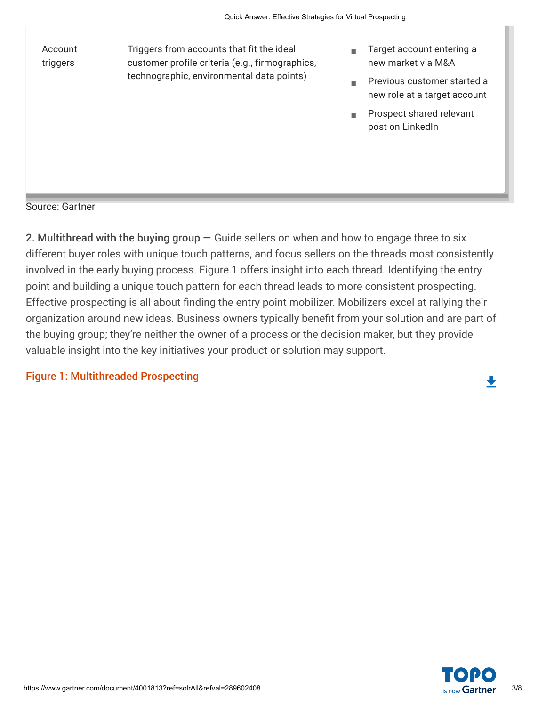| Account<br>triggers | Triggers from accounts that fit the ideal<br>customer profile criteria (e.g., firmographics,<br>technographic, environmental data points) | m.<br>× | Target account entering a<br>new market via M&A<br>Previous customer started a<br>new role at a target account<br>Prospect shared relevant<br>post on LinkedIn |
|---------------------|-------------------------------------------------------------------------------------------------------------------------------------------|---------|----------------------------------------------------------------------------------------------------------------------------------------------------------------|
|                     |                                                                                                                                           |         |                                                                                                                                                                |

Source: Gartner

2. Multithread with the buying group — Guide sellers on when and how to engage three to six different buyer roles with unique touch patterns, and focus sellers on the threads most consistently involved in the early buying process. Figure 1 offers insight into each thread. Identifying the entry point and building a unique touch pattern for each thread leads to more consistent prospecting. Effective prospecting is all about finding the entry point mobilizer. Mobilizers excel at rallying their organization around new ideas. Business owners typically benefit from your solution and are part of the buying group; they're neither the owner of a process or the decision maker, but they provide valuable insight into the key initiatives your product or solution may support.

#### Figure 1: Multithreaded Prospecting

 $\ddot{\phantom{0}}$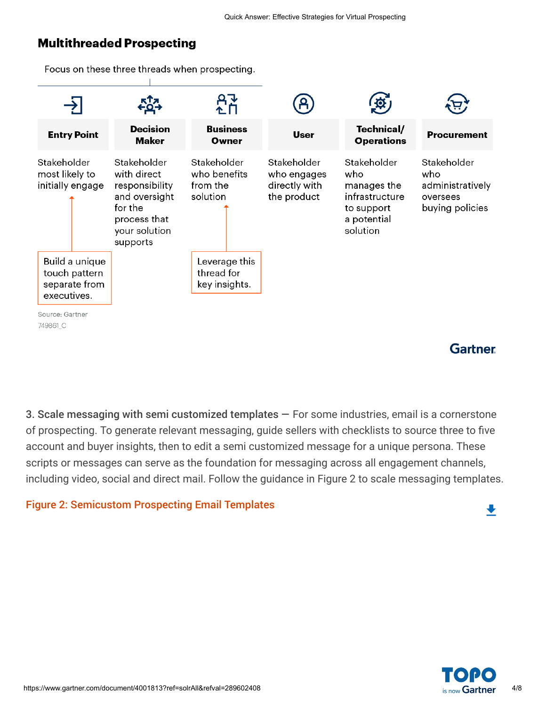### **Multithreaded Prospecting**

Focus on these three threads when prospecting.



**Gartner** 

 $\blacklozenge$ 

3. Scale messaging with semi customized templates — For some industries, email is a cornerstone of prospecting. To generate relevant messaging, guide sellers with checklists to source three to five account and buyer insights, then to edit a semi customized message for a unique persona. These scripts or messages can serve as the foundation for messaging across all engagement channels, including video, social and direct mail. Follow the guidance in Figure 2 to scale messaging templates.

#### Figure 2: Semicustom Prospecting Email Templates

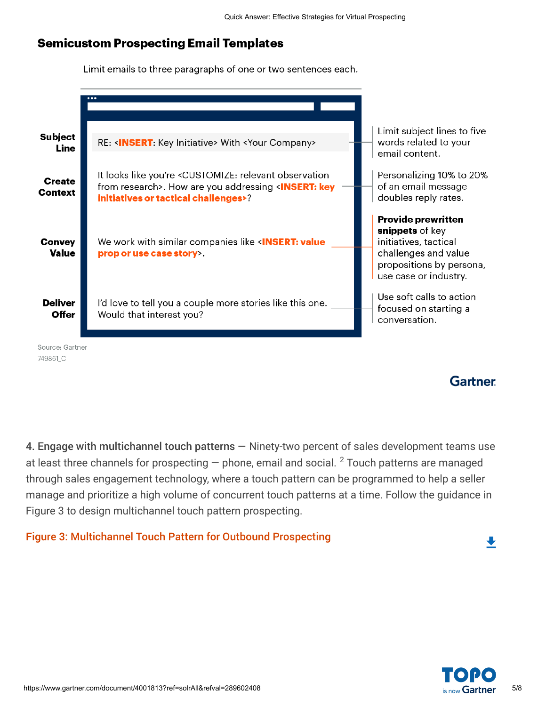### **Semicustom Prospecting Email Templates**

Limit emails to three paragraphs of one or two sentences each.

|                                 | $\cdots$                                                                                                                                                                                   |                                                                                                                                                    |
|---------------------------------|--------------------------------------------------------------------------------------------------------------------------------------------------------------------------------------------|----------------------------------------------------------------------------------------------------------------------------------------------------|
| <b>Subject</b><br>Line          | RE: <insert: initiative="" key=""> With <your company=""></your></insert:>                                                                                                                 | Limit subject lines to five<br>words related to your<br>email content.                                                                             |
| <b>Create</b><br><b>Context</b> | It looks like you're <customize: observation<br="" relevant="">from research&gt;. How are you addressing <insert: key<br="">initiatives or tactical challenges&gt;?</insert:></customize:> | Personalizing 10% to 20%<br>of an email message<br>doubles reply rates.                                                                            |
| <b>Convey</b><br>Value          | We work with similar companies like <insert: value<br="">prop or use case story&gt;.</insert:>                                                                                             | <b>Provide prewritten</b><br>snippets of key<br>initiatives, tactical<br>challenges and value<br>propositions by persona,<br>use case or industry. |
| <b>Deliver</b><br>Offer         | I'd love to tell you a couple more stories like this one.<br>Would that interest you?                                                                                                      | Use soft calls to action<br>focused on starting a<br>conversation.                                                                                 |
| Source: Gartner<br>749861 C     |                                                                                                                                                                                            |                                                                                                                                                    |

**Gartner** 

4. Engage with multichannel touch patterns — Ninety-two percent of sales development teams use at least three channels for prospecting — phone, email and social.  $^2$  Touch patterns are managed through sales engagement technology, where a touch pattern can be programmed to help a seller manage and prioritize a high volume of concurrent touch patterns at a time. Follow the guidance in Figure 3 to design multichannel touch pattern prospecting.

#### Figure 3: Multichannel Touch Pattern for Outbound Prospecting



 $\ddot{\phantom{0}}$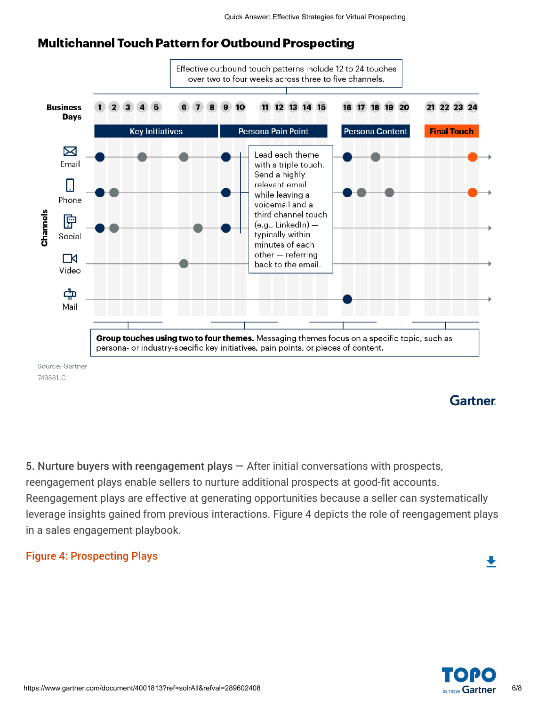### **Multichannel Touch Pattern for Outbound Prospecting**



5. Nurture buyers with reengagement plays — After initial conversations with prospects, reengagement plays enable sellers to nurture additional prospects at good-fit accounts. Reengagement plays are effective at generating opportunities because a seller can systematically leverage insights gained from previous interactions. Figure 4 depicts the role of reengagement plays in a sales engagement playbook.

#### Figure 4: Prospecting Plays



 $\ddot{\phantom{0}}$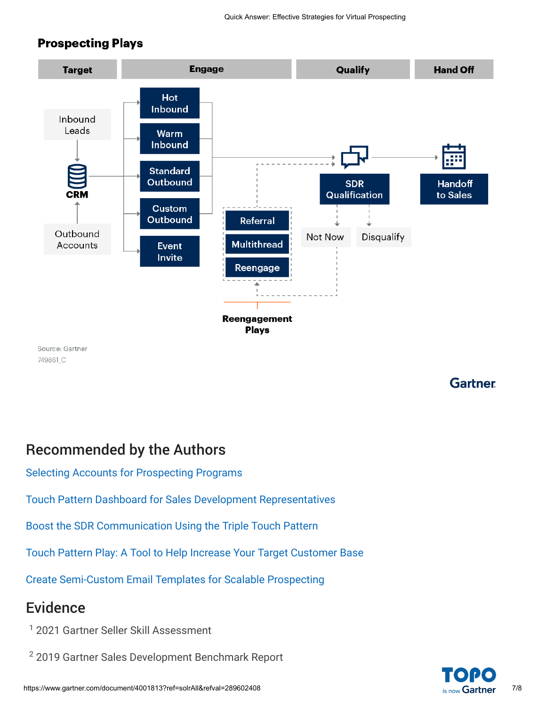### **Prospecting Plays**



**Gartner** 

## Recommended by the Authors

[Selecting Accounts for Prospecting Programs](javascript:void(0);)

[Touch Pattern Dashboard for Sales Development Representatives](javascript:void(0);)

[Boost the SDR Communication Using the Triple Touch Pattern](javascript:void(0);)

[Touch Pattern Play: A Tool to Help Increase Your Target Customer Base](javascript:void(0);)

[Create Semi-Custom Email Templates for Scalable Prospecting](javascript:void(0);)

## Evidence

- 1 2021 Gartner Seller Skill Assessment
- $^2$  2019 Gartner Sales Development Benchmark Report